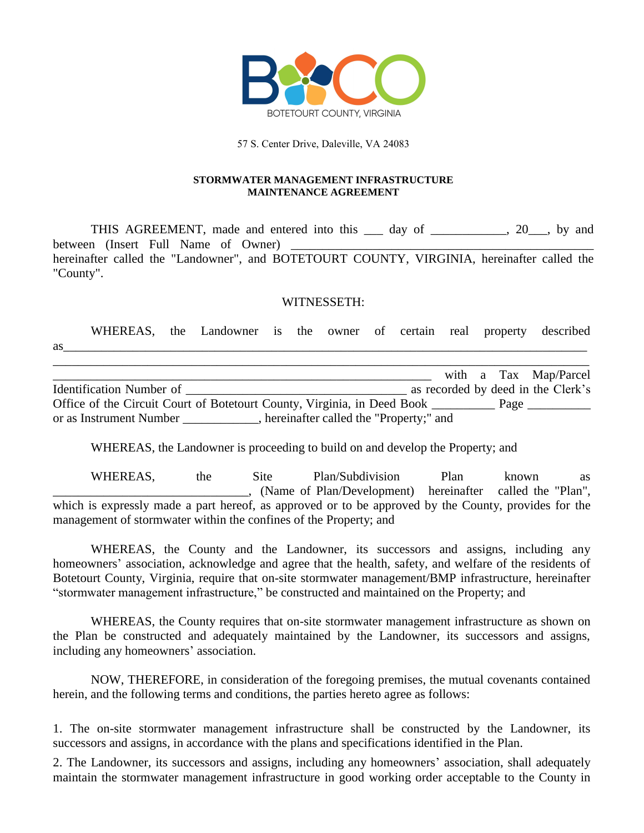

57 S. Center Drive, Daleville, VA 24083

#### **STORMWATER MANAGEMENT INFRASTRUCTURE MAINTENANCE AGREEMENT**

THIS AGREEMENT, made and entered into this \_\_\_ day of \_\_\_\_\_\_\_\_\_, 20\_\_, by and between (Insert Full Name of Owner) hereinafter called the "Landowner", and BOTETOURT COUNTY, VIRGINIA, hereinafter called the "County".

#### WITNESSETH:

WHEREAS, the Landowner is the owner of certain real property described as  $\frac{1}{2}$ \_\_\_\_\_\_\_\_\_\_\_\_\_\_\_\_\_\_\_\_\_\_\_\_\_\_\_\_\_\_\_\_\_\_\_\_\_\_\_\_\_\_\_\_\_\_\_\_\_\_\_\_\_\_\_\_\_\_\_\_\_\_\_\_\_\_\_\_\_\_\_\_\_\_\_\_\_\_\_\_\_\_\_\_\_

with a Tax Map/Parcel Identification Number of \_\_\_\_\_\_\_\_\_\_\_\_\_\_\_\_\_\_\_\_\_\_\_\_\_\_\_\_\_\_\_\_\_\_\_ as recorded by deed in the Clerk's Office of the Circuit Court of Botetourt County, Virginia, in Deed Book \_\_\_\_\_\_\_\_\_\_\_\_ Page \_\_\_\_\_\_\_\_\_ or as Instrument Number \_\_\_\_\_\_\_\_\_\_\_\_, hereinafter called the "Property;" and

WHEREAS, the Landowner is proceeding to build on and develop the Property; and

WHEREAS, the Site Plan/Subdivision Plan known as \_\_\_\_\_\_\_\_\_\_\_\_\_\_\_\_\_\_\_\_\_\_\_\_\_\_\_\_\_\_\_, (Name of Plan/Development) hereinafter called the "Plan", which is expressly made a part hereof, as approved or to be approved by the County, provides for the management of stormwater within the confines of the Property; and

WHEREAS, the County and the Landowner, its successors and assigns, including any homeowners' association, acknowledge and agree that the health, safety, and welfare of the residents of Botetourt County, Virginia, require that on-site stormwater management/BMP infrastructure, hereinafter "stormwater management infrastructure," be constructed and maintained on the Property; and

WHEREAS, the County requires that on-site stormwater management infrastructure as shown on the Plan be constructed and adequately maintained by the Landowner, its successors and assigns, including any homeowners' association.

NOW, THEREFORE, in consideration of the foregoing premises, the mutual covenants contained herein, and the following terms and conditions, the parties hereto agree as follows:

1. The on-site stormwater management infrastructure shall be constructed by the Landowner, its successors and assigns, in accordance with the plans and specifications identified in the Plan.

2. The Landowner, its successors and assigns, including any homeowners' association, shall adequately maintain the stormwater management infrastructure in good working order acceptable to the County in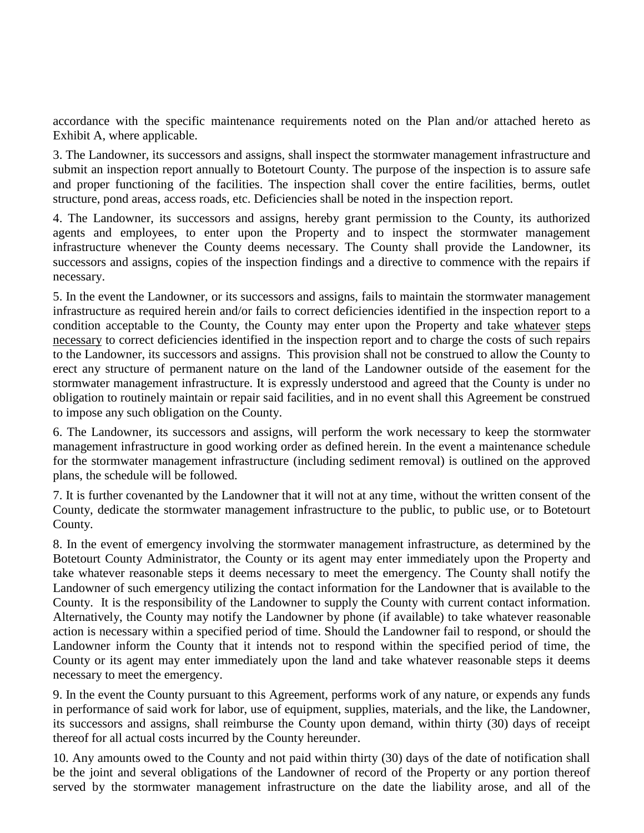accordance with the specific maintenance requirements noted on the Plan and/or attached hereto as Exhibit A, where applicable.

3. The Landowner, its successors and assigns, shall inspect the stormwater management infrastructure and submit an inspection report annually to Botetourt County. The purpose of the inspection is to assure safe and proper functioning of the facilities. The inspection shall cover the entire facilities, berms, outlet structure, pond areas, access roads, etc. Deficiencies shall be noted in the inspection report.

4. The Landowner, its successors and assigns, hereby grant permission to the County, its authorized agents and employees, to enter upon the Property and to inspect the stormwater management infrastructure whenever the County deems necessary. The County shall provide the Landowner, its successors and assigns, copies of the inspection findings and a directive to commence with the repairs if necessary.

5. In the event the Landowner, or its successors and assigns, fails to maintain the stormwater management infrastructure as required herein and/or fails to correct deficiencies identified in the inspection report to a condition acceptable to the County, the County may enter upon the Property and take whatever steps necessary to correct deficiencies identified in the inspection report and to charge the costs of such repairs to the Landowner, its successors and assigns. This provision shall not be construed to allow the County to erect any structure of permanent nature on the land of the Landowner outside of the easement for the stormwater management infrastructure. It is expressly understood and agreed that the County is under no obligation to routinely maintain or repair said facilities, and in no event shall this Agreement be construed to impose any such obligation on the County.

6. The Landowner, its successors and assigns, will perform the work necessary to keep the stormwater management infrastructure in good working order as defined herein. In the event a maintenance schedule for the stormwater management infrastructure (including sediment removal) is outlined on the approved plans, the schedule will be followed.

7. It is further covenanted by the Landowner that it will not at any time, without the written consent of the County, dedicate the stormwater management infrastructure to the public, to public use, or to Botetourt County.

8. In the event of emergency involving the stormwater management infrastructure, as determined by the Botetourt County Administrator, the County or its agent may enter immediately upon the Property and take whatever reasonable steps it deems necessary to meet the emergency. The County shall notify the Landowner of such emergency utilizing the contact information for the Landowner that is available to the County. It is the responsibility of the Landowner to supply the County with current contact information. Alternatively, the County may notify the Landowner by phone (if available) to take whatever reasonable action is necessary within a specified period of time. Should the Landowner fail to respond, or should the Landowner inform the County that it intends not to respond within the specified period of time, the County or its agent may enter immediately upon the land and take whatever reasonable steps it deems necessary to meet the emergency.

9. In the event the County pursuant to this Agreement, performs work of any nature, or expends any funds in performance of said work for labor, use of equipment, supplies, materials, and the like, the Landowner, its successors and assigns, shall reimburse the County upon demand, within thirty (30) days of receipt thereof for all actual costs incurred by the County hereunder.

10. Any amounts owed to the County and not paid within thirty (30) days of the date of notification shall be the joint and several obligations of the Landowner of record of the Property or any portion thereof served by the stormwater management infrastructure on the date the liability arose, and all of the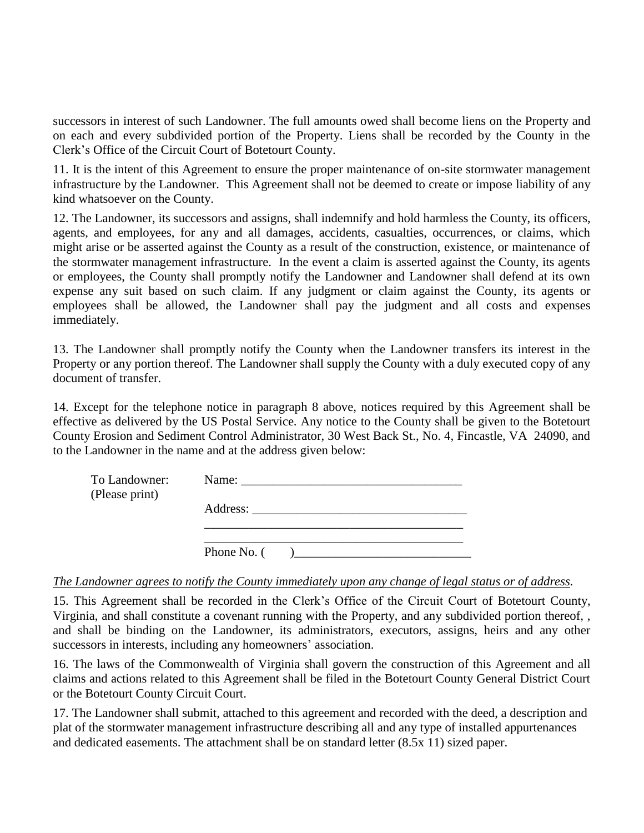successors in interest of such Landowner. The full amounts owed shall become liens on the Property and on each and every subdivided portion of the Property. Liens shall be recorded by the County in the Clerk's Office of the Circuit Court of Botetourt County.

11. It is the intent of this Agreement to ensure the proper maintenance of on-site stormwater management infrastructure by the Landowner. This Agreement shall not be deemed to create or impose liability of any kind whatsoever on the County.

12. The Landowner, its successors and assigns, shall indemnify and hold harmless the County, its officers, agents, and employees, for any and all damages, accidents, casualties, occurrences, or claims, which might arise or be asserted against the County as a result of the construction, existence, or maintenance of the stormwater management infrastructure. In the event a claim is asserted against the County, its agents or employees, the County shall promptly notify the Landowner and Landowner shall defend at its own expense any suit based on such claim. If any judgment or claim against the County, its agents or employees shall be allowed, the Landowner shall pay the judgment and all costs and expenses immediately.

13. The Landowner shall promptly notify the County when the Landowner transfers its interest in the Property or any portion thereof. The Landowner shall supply the County with a duly executed copy of any document of transfer.

14. Except for the telephone notice in paragraph 8 above, notices required by this Agreement shall be effective as delivered by the US Postal Service. Any notice to the County shall be given to the Botetourt County Erosion and Sediment Control Administrator, 30 West Back St., No. 4, Fincastle, VA 24090, and to the Landowner in the name and at the address given below:

| To Landowner:<br>(Please print) |               |
|---------------------------------|---------------|
|                                 |               |
|                                 | Phone No. $($ |

## *The Landowner agrees to notify the County immediately upon any change of legal status or of address.*

15. This Agreement shall be recorded in the Clerk's Office of the Circuit Court of Botetourt County, Virginia, and shall constitute a covenant running with the Property, and any subdivided portion thereof, , and shall be binding on the Landowner, its administrators, executors, assigns, heirs and any other successors in interests, including any homeowners' association.

16. The laws of the Commonwealth of Virginia shall govern the construction of this Agreement and all claims and actions related to this Agreement shall be filed in the Botetourt County General District Court or the Botetourt County Circuit Court.

17. The Landowner shall submit, attached to this agreement and recorded with the deed, a description and plat of the stormwater management infrastructure describing all and any type of installed appurtenances and dedicated easements. The attachment shall be on standard letter (8.5x 11) sized paper.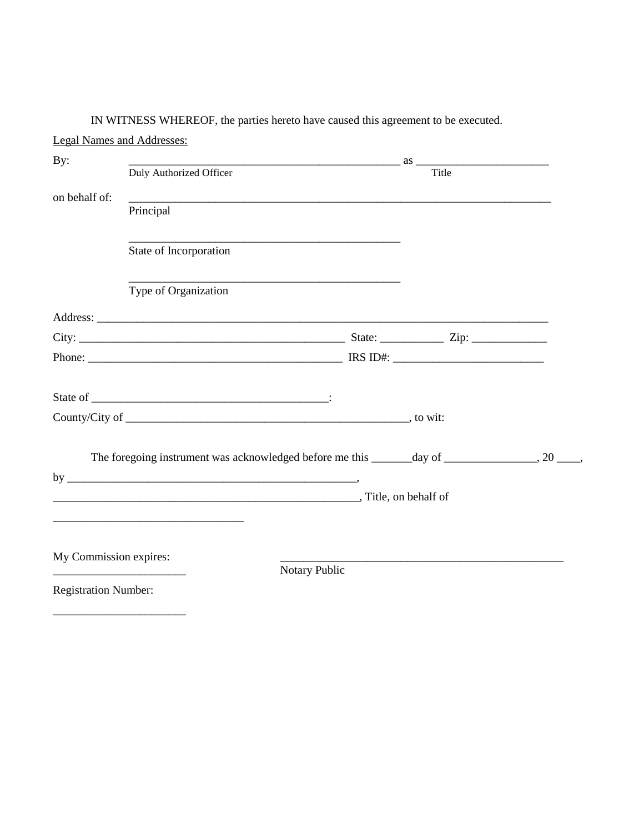|                                                          | <b>Legal Names and Addresses:</b>                                                                                     |                                                                                                                                                                                                                                                                                                  |       |  |
|----------------------------------------------------------|-----------------------------------------------------------------------------------------------------------------------|--------------------------------------------------------------------------------------------------------------------------------------------------------------------------------------------------------------------------------------------------------------------------------------------------|-------|--|
| By:                                                      |                                                                                                                       | $\frac{1}{2}$ as $\frac{1}{2}$ as $\frac{1}{2}$ as $\frac{1}{2}$ as $\frac{1}{2}$ as $\frac{1}{2}$ as $\frac{1}{2}$ as $\frac{1}{2}$ as $\frac{1}{2}$ as $\frac{1}{2}$ as $\frac{1}{2}$ as $\frac{1}{2}$ as $\frac{1}{2}$ as $\frac{1}{2}$ as $\frac{1}{2}$ as $\frac{1}{2}$ as $\frac{1}{2}$ as |       |  |
|                                                          | Duly Authorized Officer                                                                                               |                                                                                                                                                                                                                                                                                                  | Title |  |
| on behalf of:                                            | <u> 1989 - Jan Barnett, fransk politik (d. 1989)</u>                                                                  |                                                                                                                                                                                                                                                                                                  |       |  |
|                                                          | Principal                                                                                                             |                                                                                                                                                                                                                                                                                                  |       |  |
|                                                          | State of Incorporation                                                                                                |                                                                                                                                                                                                                                                                                                  |       |  |
|                                                          | Type of Organization                                                                                                  |                                                                                                                                                                                                                                                                                                  |       |  |
|                                                          |                                                                                                                       |                                                                                                                                                                                                                                                                                                  |       |  |
|                                                          |                                                                                                                       |                                                                                                                                                                                                                                                                                                  |       |  |
|                                                          |                                                                                                                       |                                                                                                                                                                                                                                                                                                  |       |  |
|                                                          |                                                                                                                       |                                                                                                                                                                                                                                                                                                  |       |  |
|                                                          |                                                                                                                       |                                                                                                                                                                                                                                                                                                  |       |  |
|                                                          |                                                                                                                       |                                                                                                                                                                                                                                                                                                  |       |  |
|                                                          | The foregoing instrument was acknowledged before me this ______day of ______________, 20 ____,                        |                                                                                                                                                                                                                                                                                                  |       |  |
|                                                          | Title, on behalf of                                                                                                   |                                                                                                                                                                                                                                                                                                  |       |  |
|                                                          | <u> 1989 - Johann Stoff, deutscher Stoff, der Stoff, der Stoff, der Stoff, der Stoff, der Stoff, der Stoff, der S</u> |                                                                                                                                                                                                                                                                                                  |       |  |
|                                                          |                                                                                                                       |                                                                                                                                                                                                                                                                                                  |       |  |
| My Commission expires:                                   |                                                                                                                       |                                                                                                                                                                                                                                                                                                  |       |  |
| <u> 1989 - Johann John Stone, mars eta biztanleria (</u> |                                                                                                                       | Notary Public                                                                                                                                                                                                                                                                                    |       |  |
| <b>Registration Number:</b>                              |                                                                                                                       |                                                                                                                                                                                                                                                                                                  |       |  |

IN WITNESS WHEREOF, the parties hereto have caused this agreement to be executed.